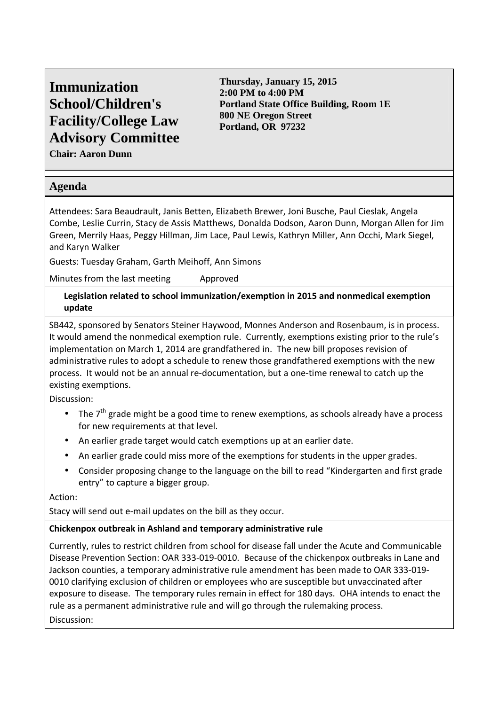# **Immunization School/Children's Facility/College Law Advisory Committee**

**Thursday, January 15, 2015 2:00 PM to 4:00 PM Portland State Office Building, Room 1E 800 NE Oregon Street Portland, OR 97232** 

**Chair: Aaron Dunn** 

# **Agenda**

Attendees: Sara Beaudrault, Janis Betten, Elizabeth Brewer, Joni Busche, Paul Cieslak, Angela Combe, Leslie Currin, Stacy de Assis Matthews, Donalda Dodson, Aaron Dunn, Morgan Allen for Jim Green, Merrily Haas, Peggy Hillman, Jim Lace, Paul Lewis, Kathryn Miller, Ann Occhi, Mark Siegel, and Karyn Walker

Guests: Tuesday Graham, Garth Meihoff, Ann Simons

Minutes from the last meeting Approved

**Legislation related to school immunization/exemption in 2015 and nonmedical exemption update** 

SB442, sponsored by Senators Steiner Haywood, Monnes Anderson and Rosenbaum, is in process. It would amend the nonmedical exemption rule. Currently, exemptions existing prior to the rule's implementation on March 1, 2014 are grandfathered in. The new bill proposes revision of administrative rules to adopt a schedule to renew those grandfathered exemptions with the new process. It would not be an annual re-documentation, but a one-time renewal to catch up the existing exemptions.

Discussion:

- The  $7<sup>th</sup>$  grade might be a good time to renew exemptions, as schools already have a process for new requirements at that level.
- An earlier grade target would catch exemptions up at an earlier date.
- An earlier grade could miss more of the exemptions for students in the upper grades.
- Consider proposing change to the language on the bill to read "Kindergarten and first grade entry" to capture a bigger group.

Action:

Stacy will send out e-mail updates on the bill as they occur.

## **Chickenpox outbreak in Ashland and temporary administrative rule**

Currently, rules to restrict children from school for disease fall under the Acute and Communicable Disease Prevention Section: OAR 333-019-0010. Because of the chickenpox outbreaks in Lane and Jackson counties, a temporary administrative rule amendment has been made to OAR 333-019- 0010 clarifying exclusion of children or employees who are susceptible but unvaccinated after exposure to disease. The temporary rules remain in effect for 180 days. OHA intends to enact the rule as a permanent administrative rule and will go through the rulemaking process. Discussion: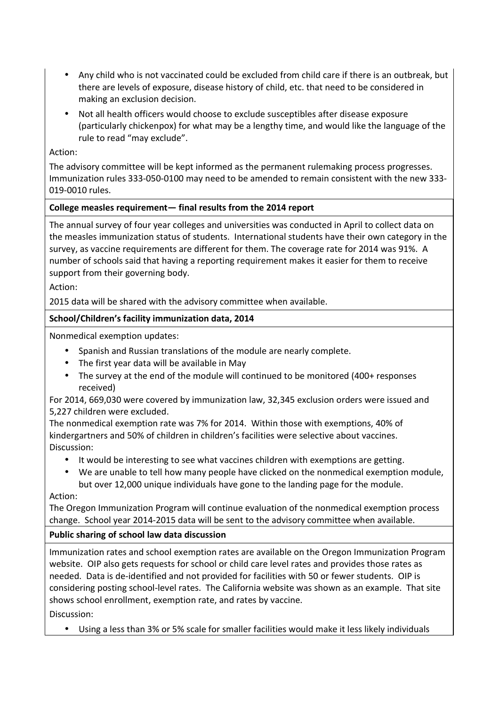- Any child who is not vaccinated could be excluded from child care if there is an outbreak, but there are levels of exposure, disease history of child, etc. that need to be considered in making an exclusion decision.
- Not all health officers would choose to exclude susceptibles after disease exposure (particularly chickenpox) for what may be a lengthy time, and would like the language of the rule to read "may exclude".

#### Action:

The advisory committee will be kept informed as the permanent rulemaking process progresses. Immunization rules 333-050-0100 may need to be amended to remain consistent with the new 333- 019-0010 rules.

## **College measles requirement— final results from the 2014 report**

The annual survey of four year colleges and universities was conducted in April to collect data on the measles immunization status of students. International students have their own category in the survey, as vaccine requirements are different for them. The coverage rate for 2014 was 91%. A number of schools said that having a reporting requirement makes it easier for them to receive support from their governing body.

Action:

2015 data will be shared with the advisory committee when available.

## **School/Children's facility immunization data, 2014**

Nonmedical exemption updates:

- Spanish and Russian translations of the module are nearly complete.
- The first year data will be available in May
- The survey at the end of the module will continued to be monitored (400+ responses received)

For 2014, 669,030 were covered by immunization law, 32,345 exclusion orders were issued and 5,227 children were excluded.

The nonmedical exemption rate was 7% for 2014. Within those with exemptions, 40% of kindergartners and 50% of children in children's facilities were selective about vaccines. Discussion:

- It would be interesting to see what vaccines children with exemptions are getting.
- We are unable to tell how many people have clicked on the nonmedical exemption module, but over 12,000 unique individuals have gone to the landing page for the module.

Action:

The Oregon Immunization Program will continue evaluation of the nonmedical exemption process change. School year 2014-2015 data will be sent to the advisory committee when available.

## **Public sharing of school law data discussion**

Immunization rates and school exemption rates are available on the Oregon Immunization Program website. OIP also gets requests for school or child care level rates and provides those rates as needed. Data is de-identified and not provided for facilities with 50 or fewer students. OIP is considering posting school-level rates. The California website was shown as an example. That site shows school enrollment, exemption rate, and rates by vaccine. Discussion:

• Using a less than 3% or 5% scale for smaller facilities would make it less likely individuals